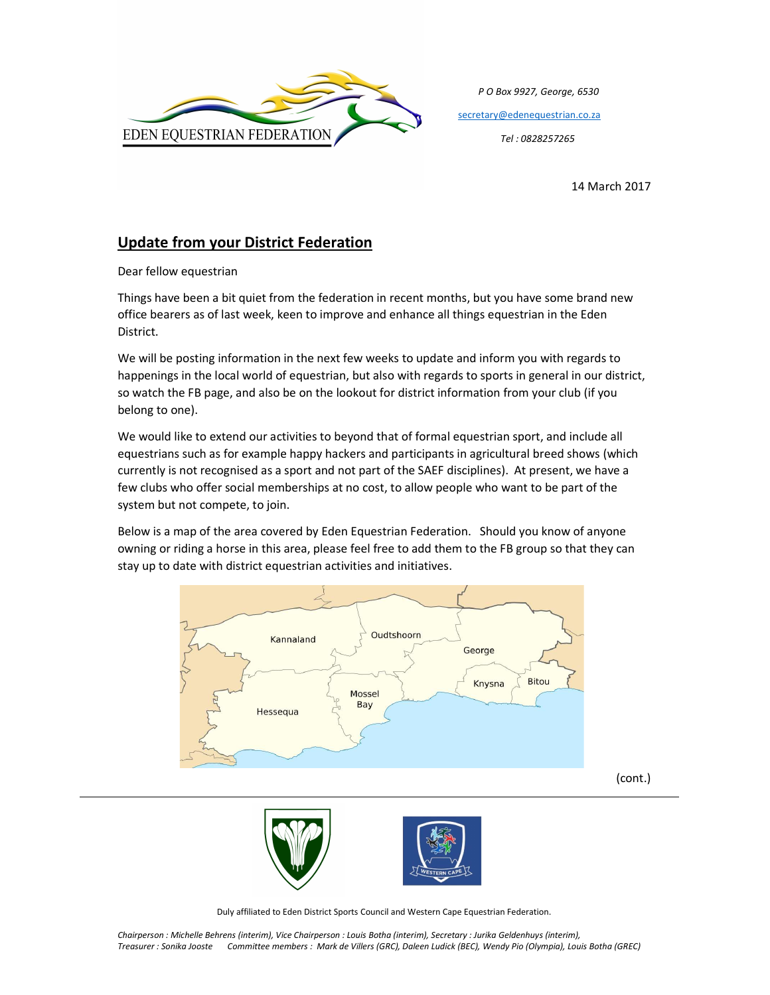

 P O Box 9927, George, 6530 secretary@edenequestrian.co.za

14 March 2017

## Update from your District Federation

Dear fellow equestrian

Things have been a bit quiet from the federation in recent months, but you have some brand new office bearers as of last week, keen to improve and enhance all things equestrian in the Eden District.

We will be posting information in the next few weeks to update and inform you with regards to happenings in the local world of equestrian, but also with regards to sports in general in our district, so watch the FB page, and also be on the lookout for district information from your club (if you belong to one).

We would like to extend our activities to beyond that of formal equestrian sport, and include all equestrians such as for example happy hackers and participants in agricultural breed shows (which currently is not recognised as a sport and not part of the SAEF disciplines). At present, we have a few clubs who offer social memberships at no cost, to allow people who want to be part of the system but not compete, to join.

Below is a map of the area covered by Eden Equestrian Federation. Should you know of anyone owning or riding a horse in this area, please feel free to add them to the FB group so that they can stay up to date with district equestrian activities and initiatives.





Duly affiliated to Eden District Sports Council and Western Cape Equestrian Federation.

Chairperson : Michelle Behrens (interim), Vice Chairperson : Louis Botha (interim), Secretary : Jurika Geldenhuys (interim), Treasurer : Sonika Jooste Committee members : Mark de Villers (GRC), Daleen Ludick (BEC), Wendy Pio (Olympia), Louis Botha (GREC)